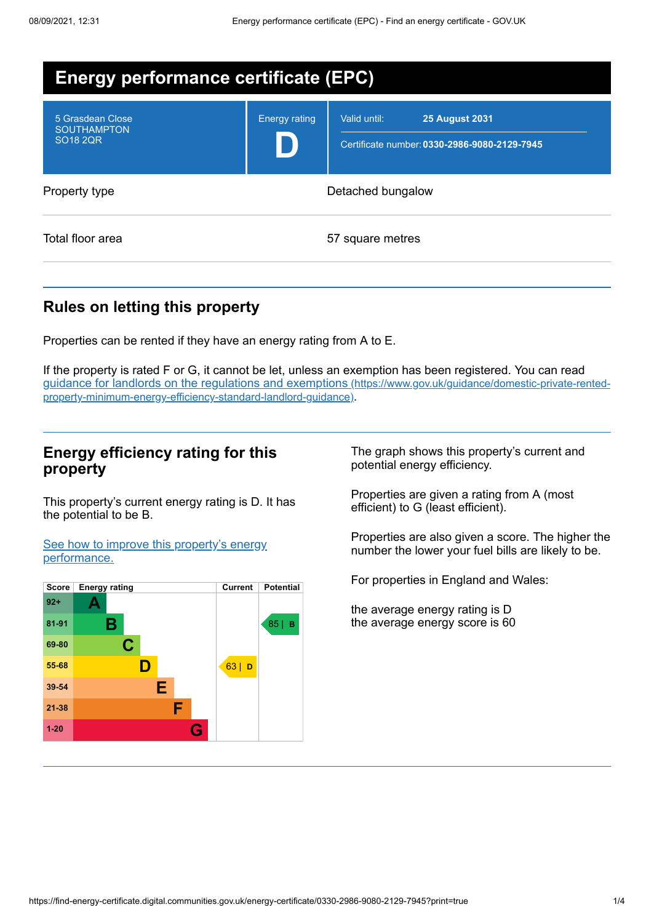| <b>Energy performance certificate (EPC)</b>               |                      |                                                                                       |
|-----------------------------------------------------------|----------------------|---------------------------------------------------------------------------------------|
| 5 Grasdean Close<br><b>SOUTHAMPTON</b><br><b>SO18 2QR</b> | <b>Energy rating</b> | Valid until:<br><b>25 August 2031</b><br>Certificate number: 0330-2986-9080-2129-7945 |
| Property type                                             | Detached bungalow    |                                                                                       |
| Total floor area                                          | 57 square metres     |                                                                                       |

## **Rules on letting this property**

Properties can be rented if they have an energy rating from A to E.

If the property is rated F or G, it cannot be let, unless an exemption has been registered. You can read guidance for landlords on the regulations and exemptions (https://www.gov.uk/guidance/domestic-private-rented[property-minimum-energy-efficiency-standard-landlord-guidance\)](https://www.gov.uk/guidance/domestic-private-rented-property-minimum-energy-efficiency-standard-landlord-guidance).

### **Energy efficiency rating for this property**

This property's current energy rating is D. It has the potential to be B.

See how to improve this property's energy [performance.](#page-2-0)



The graph shows this property's current and potential energy efficiency.

Properties are given a rating from A (most efficient) to G (least efficient).

Properties are also given a score. The higher the number the lower your fuel bills are likely to be.

For properties in England and Wales:

the average energy rating is D the average energy score is 60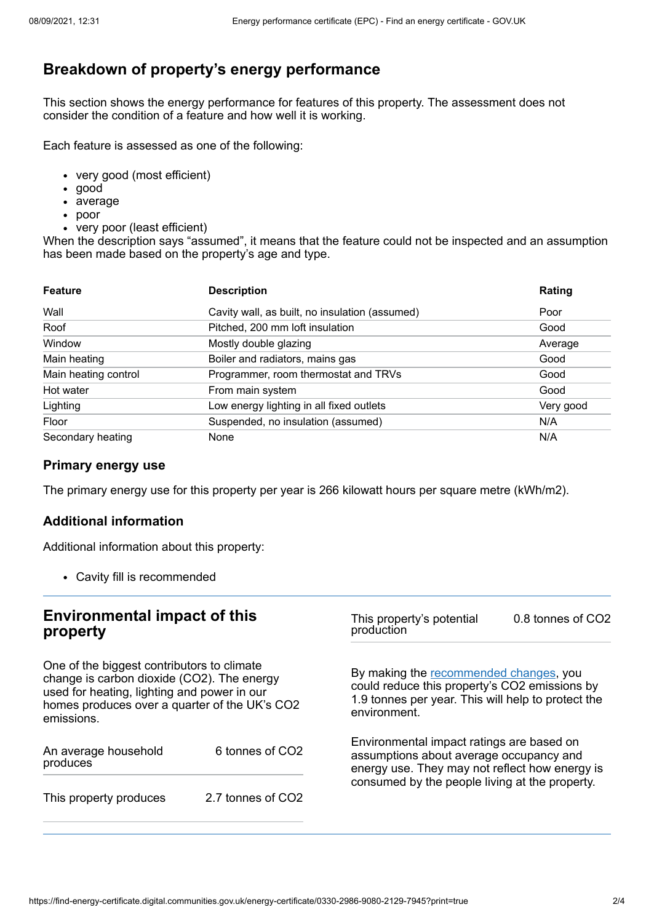# **Breakdown of property's energy performance**

This section shows the energy performance for features of this property. The assessment does not consider the condition of a feature and how well it is working.

Each feature is assessed as one of the following:

- very good (most efficient)
- good
- average
- poor
- very poor (least efficient)

When the description says "assumed", it means that the feature could not be inspected and an assumption has been made based on the property's age and type.

| <b>Feature</b>       | <b>Description</b>                             | Rating    |
|----------------------|------------------------------------------------|-----------|
| Wall                 | Cavity wall, as built, no insulation (assumed) | Poor      |
| Roof                 | Pitched, 200 mm loft insulation                | Good      |
| Window               | Mostly double glazing                          | Average   |
| Main heating         | Boiler and radiators, mains gas                | Good      |
| Main heating control | Programmer, room thermostat and TRVs           | Good      |
| Hot water            | From main system                               | Good      |
| Lighting             | Low energy lighting in all fixed outlets       | Very good |
| Floor                | Suspended, no insulation (assumed)             | N/A       |
| Secondary heating    | None                                           | N/A       |

### **Primary energy use**

The primary energy use for this property per year is 266 kilowatt hours per square metre (kWh/m2).

#### **Additional information**

Additional information about this property:

Cavity fill is recommended

#### **Environmental impact of this property** One of the biggest contributors to climate change is carbon dioxide (CO2). The energy used for heating, lighting and power in our homes produces over a quarter of the UK's CO2 emissions. An average household produces 6 tonnes of CO2 This property produces 2.7 tonnes of CO2 This property's potential production 0.8 tonnes of CO2 By making the [recommended](#page-2-0) changes, you could reduce this property's CO2 emissions by 1.9 tonnes per year. This will help to protect the environment. Environmental impact ratings are based on assumptions about average occupancy and energy use. They may not reflect how energy is consumed by the people living at the property.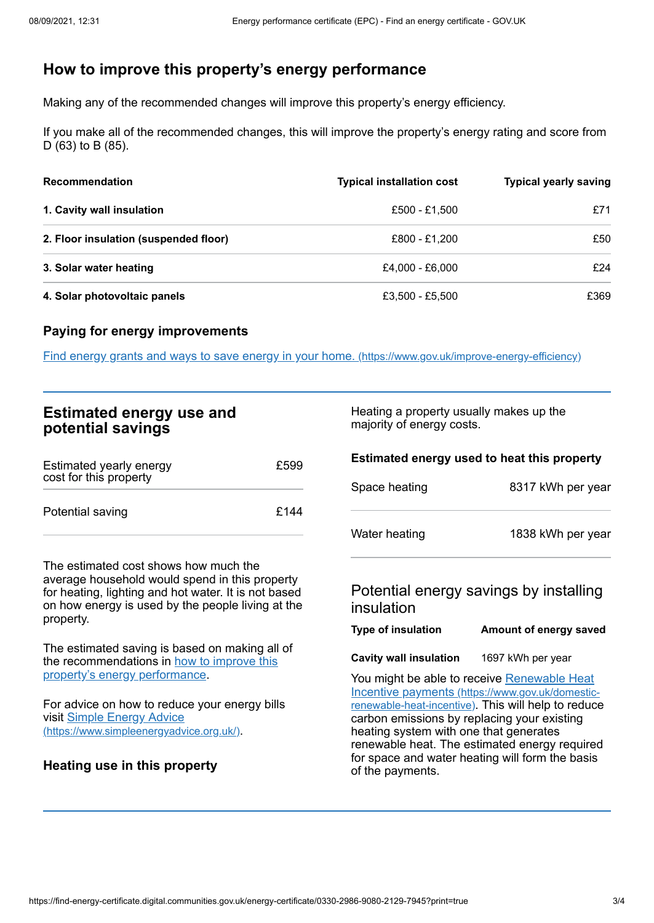# <span id="page-2-0"></span>**How to improve this property's energy performance**

Making any of the recommended changes will improve this property's energy efficiency.

If you make all of the recommended changes, this will improve the property's energy rating and score from D (63) to B (85).

| <b>Recommendation</b>                 | <b>Typical installation cost</b> | <b>Typical yearly saving</b> |
|---------------------------------------|----------------------------------|------------------------------|
| 1. Cavity wall insulation             | £500 - £1.500                    | £71                          |
| 2. Floor insulation (suspended floor) | £800 - £1.200                    | £50                          |
| 3. Solar water heating                | £4.000 - £6.000                  | £24                          |
| 4. Solar photovoltaic panels          | £3,500 - £5,500                  | £369                         |

#### **Paying for energy improvements**

Find energy grants and ways to save energy in your home. [\(https://www.gov.uk/improve-energy-efficiency\)](https://www.gov.uk/improve-energy-efficiency)

| <b>Estimated energy use and</b> |  |
|---------------------------------|--|
| potential savings               |  |

| Estimated yearly energy<br>cost for this property | £599 |
|---------------------------------------------------|------|
| Potential saving                                  | £144 |

The estimated cost shows how much the average household would spend in this property for heating, lighting and hot water. It is not based on how energy is used by the people living at the property.

The estimated saving is based on making all of the [recommendations](#page-2-0) in how to improve this property's energy performance.

For advice on how to reduce your energy bills visit Simple Energy Advice [\(https://www.simpleenergyadvice.org.uk/\)](https://www.simpleenergyadvice.org.uk/).

#### **Heating use in this property**

Heating a property usually makes up the majority of energy costs.

### **Estimated energy used to heat this property**

| Space heating | 8317 kWh per year |
|---------------|-------------------|
| Water heating | 1838 kWh per year |

### Potential energy savings by installing insulation

| <b>Type of insulation</b> | Amount of energy saved |
|---------------------------|------------------------|
|                           |                        |

**Cavity wall insulation** 1697 kWh per year

You might be able to receive Renewable Heat Incentive payments [\(https://www.gov.uk/domestic](https://www.gov.uk/domestic-renewable-heat-incentive)renewable-heat-incentive). This will help to reduce carbon emissions by replacing your existing heating system with one that generates renewable heat. The estimated energy required for space and water heating will form the basis of the payments.